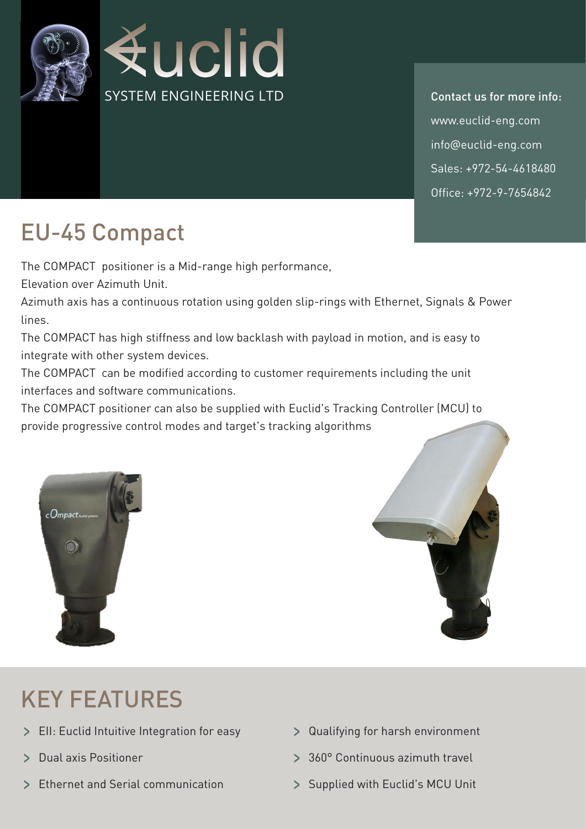

info@euclid-eng.com Sales: +972-54-4618480 Office: +972-9-7654842 www.euclid-eng.com Contact us for more info:

## EU-45 Compact

The COMPACT positioner is a Mid-range high performance,

Elevation over Azimuth Unit.

Azimuth axis has a continuous rotation using golden slip-rings with Ethernet, Signals & Power lines.

The COMPACT has high stiffness and low backlash with payload in motion, and is easy to integrate with other system devices.

The COMPACT can be modified according to customer requirements including the unit interfaces and software communications.

The COMPACT positioner can also be supplied with Euclid's Tracking Controller (MCU) to provide progressive control modes and target's tracking algorithms





## **KEY FEATURES**

- Integrative integration for easy **Figure 2** Qualifying for harsh environment
- 
- > Ethernet and Serial communication > Supplied with Euclid's MCU Unit
- 
- travel and axis Positioner and Continuous azimuth travel
	-